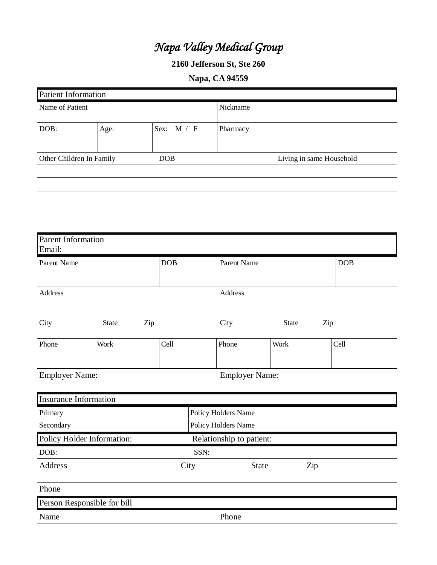# *Napa Valley Medical Group*

## **2160 Jefferson St, Ste 260**

## **Napa, CA 94559**

| <b>Patient Information</b>   |                             |            |                          |                       |                          |  |
|------------------------------|-----------------------------|------------|--------------------------|-----------------------|--------------------------|--|
| Name of Patient              |                             |            | Nickname                 |                       |                          |  |
| DOB:                         | Age:                        | Sex: M / F | Pharmacy                 |                       |                          |  |
| Other Children In Family     |                             | DOB        |                          |                       | Living in same Household |  |
|                              |                             |            |                          |                       |                          |  |
|                              |                             |            |                          |                       |                          |  |
|                              |                             |            |                          |                       |                          |  |
|                              |                             |            |                          |                       |                          |  |
|                              |                             |            |                          |                       |                          |  |
| Parent Information<br>Email: |                             |            |                          |                       |                          |  |
| Parent Name                  |                             | DOB        | Parent Name              |                       | <b>DOB</b>               |  |
| <b>Address</b>               |                             |            | Address                  |                       |                          |  |
| City                         | Zip<br>State                |            | City                     | State<br>Zip          |                          |  |
| Phone                        | Work                        | Cell       | Phone                    | Work                  | Cell                     |  |
| <b>Employer Name:</b>        |                             |            |                          | <b>Employer Name:</b> |                          |  |
| <b>Insurance Information</b> |                             |            |                          |                       |                          |  |
| Primary                      |                             |            | Policy Holders Name      |                       |                          |  |
| Secondary                    |                             |            | Policy Holders Name      |                       |                          |  |
|                              | Policy Holder Information:  |            | Relationship to patient: |                       |                          |  |
| DOB:                         |                             |            | SSN:                     |                       |                          |  |
| Address                      | City                        |            |                          | State<br>Zip          |                          |  |
| Phone                        |                             |            |                          |                       |                          |  |
|                              | Person Responsible for bill |            |                          |                       |                          |  |
| Name                         |                             |            | Phone                    |                       |                          |  |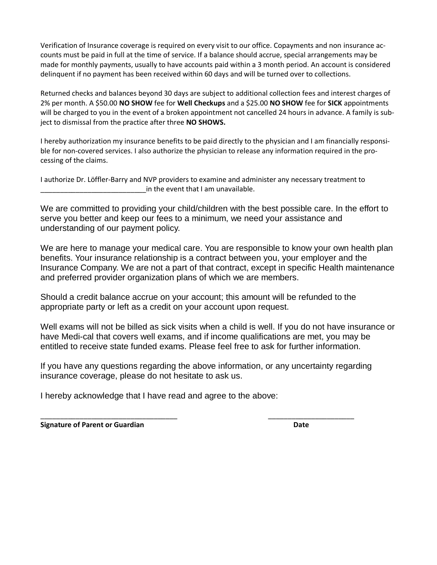Verification of Insurance coverage is required on every visit to our office. Copayments and non insurance accounts must be paid in full at the time of service. If a balance should accrue, special arrangements may be made for monthly payments, usually to have accounts paid within a 3 month period. An account is considered delinquent if no payment has been received within 60 days and will be turned over to collections.

Returned checks and balances beyond 30 days are subject to additional collection fees and interest charges of 2% per month. A \$50.00 **NO SHOW** fee for **Well Checkups** and a \$25.00 **NO SHOW** fee for **SICK** appointments will be charged to you in the event of a broken appointment not cancelled 24 hours in advance. A family is subject to dismissal from the practice after three **NO SHOWS.**

I hereby authorization my insurance benefits to be paid directly to the physician and I am financially responsible for non-covered services. I also authorize the physician to release any information required in the processing of the claims.

I authorize Dr. Löffler-Barry and NVP providers to examine and administer any necessary treatment to in the event that I am unavailable.

We are committed to providing your child/children with the best possible care. In the effort to serve you better and keep our fees to a minimum, we need your assistance and understanding of our payment policy.

We are here to manage your medical care. You are responsible to know your own health plan benefits. Your insurance relationship is a contract between you, your employer and the Insurance Company. We are not a part of that contract, except in specific Health maintenance and preferred provider organization plans of which we are members.

Should a credit balance accrue on your account; this amount will be refunded to the appropriate party or left as a credit on your account upon request.

Well exams will not be billed as sick visits when a child is well. If you do not have insurance or have Medi-cal that covers well exams, and if income qualifications are met, you may be entitled to receive state funded exams. Please feel free to ask for further information.

If you have any questions regarding the above information, or any uncertainty regarding insurance coverage, please do not hesitate to ask us.

\_\_\_\_\_\_\_\_\_\_\_\_\_\_\_\_\_\_\_\_\_\_\_\_\_\_\_\_\_\_\_\_\_\_\_ \_\_\_\_\_\_\_\_\_\_\_\_\_\_\_\_\_\_\_\_\_\_

I hereby acknowledge that I have read and agree to the above:

**Signature of Parent or Guardian Date**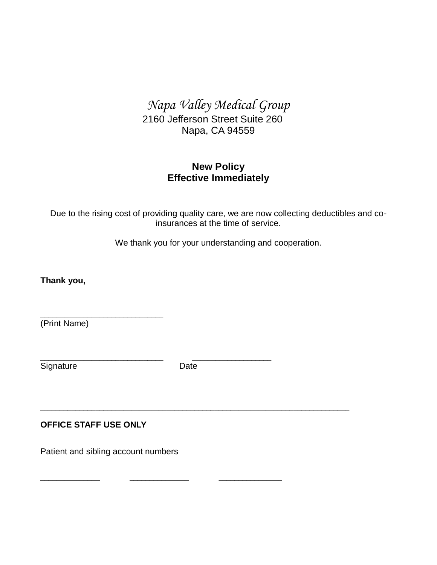*Napa Valley Medical Group*

2160 Jefferson Street Suite 260 Napa, CA 94559

## **New Policy Effective Immediately**

Due to the rising cost of providing quality care, we are now collecting deductibles and coinsurances at the time of service.

We thank you for your understanding and cooperation.

**Thank you,**

\_\_\_\_\_\_\_\_\_\_\_\_\_\_\_\_\_\_\_\_\_\_\_\_\_\_\_\_\_\_\_ (Print Name)

Signature Date

\_\_\_\_\_\_\_\_\_\_\_\_\_\_\_\_\_\_\_\_\_\_\_\_\_\_\_\_\_\_\_ \_\_\_\_\_\_\_\_\_\_\_\_\_\_\_\_\_\_\_\_

*\_\_\_\_\_\_\_\_\_\_\_\_\_\_\_\_\_\_\_\_\_\_\_\_\_\_\_\_\_\_\_\_\_\_\_\_\_\_\_\_\_\_\_\_\_\_\_\_\_\_\_\_\_\_\_\_\_\_\_\_\_\_\_\_\_\_\_\_\_\_\_\_\_\_\_\_\_\_*

\_\_\_\_\_\_\_\_\_\_\_\_\_\_\_ \_\_\_\_\_\_\_\_\_\_\_\_\_\_\_ \_\_\_\_\_\_\_\_\_\_\_\_\_\_\_\_

## **OFFICE STAFF USE ONLY**

Patient and sibling account numbers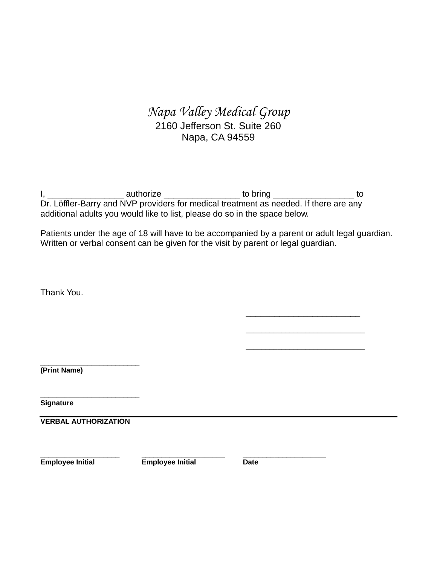## *Napa Valley Medical Group*  2160 Jefferson St. Suite 260 Napa, CA 94559

I, \_\_\_\_\_\_\_\_\_\_\_\_\_\_\_\_\_\_\_\_\_\_\_ authorize \_\_\_\_\_\_\_\_\_\_\_\_\_\_\_\_\_\_\_\_\_\_\_ to bring \_\_\_\_\_\_\_\_\_\_\_\_\_\_\_\_\_\_\_\_\_\_\_ to Dr. Löffler-Barry and NVP providers for medical treatment as needed. If there are any additional adults you would like to list, please do so in the space below.

Patients under the age of 18 will have to be accompanied by a parent or adult legal guardian. Written or verbal consent can be given for the visit by parent or legal guardian.

Thank You.

\_\_\_\_\_\_\_\_\_\_\_\_\_\_\_\_\_\_\_\_\_\_\_\_\_ **(Print Name)**

**\_\_\_\_\_\_\_\_\_\_\_\_\_\_\_\_\_\_\_\_\_\_\_\_\_ Signature**

**VERBAL AUTHORIZATION**

**Employee Initial Employee Initial Date**

**\_\_\_\_\_\_\_\_\_\_\_\_\_\_\_\_\_\_\_\_ \_\_\_\_\_\_\_\_\_\_\_\_\_\_\_\_\_\_\_\_\_ \_\_\_\_\_\_\_\_\_\_\_\_\_\_\_\_\_\_\_\_\_**

\_\_\_\_\_\_\_\_\_\_\_\_\_\_\_\_\_\_\_\_\_\_\_\_

\_\_\_\_\_\_\_\_\_\_\_\_\_\_\_\_\_\_\_\_\_\_\_\_\_\_\_\_\_\_

\_\_\_\_\_\_\_\_\_\_\_\_\_\_\_\_\_\_\_\_\_\_\_\_\_\_\_\_\_\_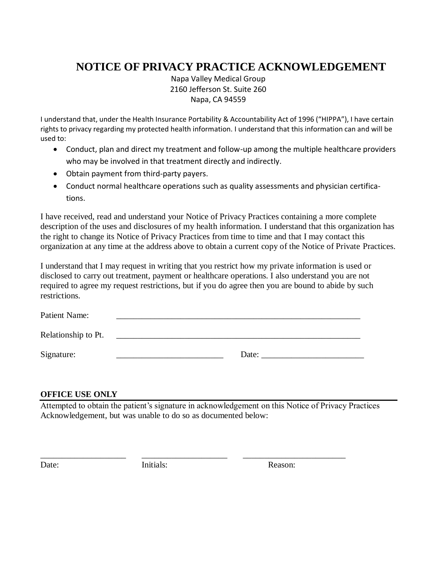# **NOTICE OF PRIVACY PRACTICE ACKNOWLEDGEMENT**

Napa Valley Medical Group 2160 Jefferson St. Suite 260 Napa, CA 94559

I understand that, under the Health Insurance Portability & Accountability Act of 1996 ("HIPPA"), I have certain rights to privacy regarding my protected health information. I understand that this information can and will be used to:

- Conduct, plan and direct my treatment and follow-up among the multiple healthcare providers who may be involved in that treatment directly and indirectly.
- Obtain payment from third-party payers.
- Conduct normal healthcare operations such as quality assessments and physician certifications.

I have received, read and understand your Notice of Privacy Practices containing a more complete description of the uses and disclosures of my health information. I understand that this organization has the right to change its Notice of Privacy Practices from time to time and that I may contact this organization at any time at the address above to obtain a current copy of the Notice of Private Practices.

I understand that I may request in writing that you restrict how my private information is used or disclosed to carry out treatment, payment or healthcare operations. I also understand you are not required to agree my request restrictions, but if you do agree then you are bound to abide by such restrictions.

| Patient Name:       |       |
|---------------------|-------|
| Relationship to Pt. |       |
| Signature:          | Date: |

#### **OFFICE USE ONLY**

Attempted to obtain the patient's signature in acknowledgement on this Notice of Privacy Practices Acknowledgement, but was unable to do so as documented below:

\_\_\_\_\_\_\_\_\_\_\_\_\_\_\_\_\_\_\_\_ \_\_\_\_\_\_\_\_\_\_\_\_\_\_\_\_\_\_\_\_ \_\_\_\_\_\_\_\_\_\_\_\_\_\_\_\_\_\_\_\_\_\_\_\_

Date: Initials: Initials: Reason: